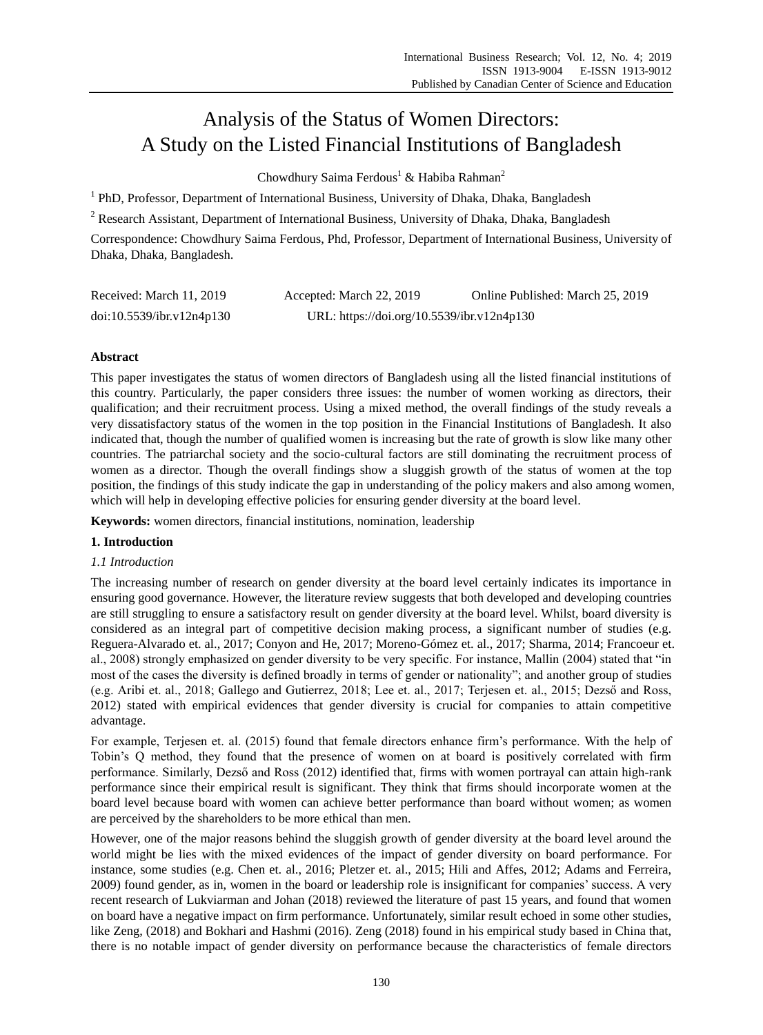# Analysis of the Status of Women Directors: A Study on the Listed Financial Institutions of Bangladesh

Chowdhury Saima Ferdous<sup>1</sup> & Habiba Rahman<sup>2</sup>

<sup>1</sup> PhD, Professor, Department of International Business, University of Dhaka, Dhaka, Bangladesh

<sup>2</sup> Research Assistant, Department of International Business, University of Dhaka, Dhaka, Bangladesh

Correspondence: Chowdhury Saima Ferdous, Phd, Professor, Department of International Business, University of Dhaka, Dhaka, Bangladesh.

| Received: March 11, 2019  | Accepted: March 22, 2019                   | Online Published: March 25, 2019 |
|---------------------------|--------------------------------------------|----------------------------------|
| doi:10.5539/ibr.v12n4p130 | URL: https://doi.org/10.5539/ibr.v12n4p130 |                                  |

# **Abstract**

This paper investigates the status of women directors of Bangladesh using all the listed financial institutions of this country. Particularly, the paper considers three issues: the number of women working as directors, their qualification; and their recruitment process. Using a mixed method, the overall findings of the study reveals a very dissatisfactory status of the women in the top position in the Financial Institutions of Bangladesh. It also indicated that, though the number of qualified women is increasing but the rate of growth is slow like many other countries. The patriarchal society and the socio-cultural factors are still dominating the recruitment process of women as a director. Though the overall findings show a sluggish growth of the status of women at the top position, the findings of this study indicate the gap in understanding of the policy makers and also among women, which will help in developing effective policies for ensuring gender diversity at the board level.

**Keywords:** women directors, financial institutions, nomination, leadership

# **1. Introduction**

# *1.1 Introduction*

The increasing number of research on gender diversity at the board level certainly indicates its importance in ensuring good governance. However, the literature review suggests that both developed and developing countries are still struggling to ensure a satisfactory result on gender diversity at the board level. Whilst, board diversity is considered as an integral part of competitive decision making process, a significant number of studies (e.g. Reguera-Alvarado et. al., 2017; Conyon and He, 2017; Moreno-Gómez et. al., 2017; Sharma, 2014; Francoeur et. al., 2008) strongly emphasized on gender diversity to be very specific. For instance, Mallin (2004) stated that "in most of the cases the diversity is defined broadly in terms of gender or nationality"; and another group of studies (e.g. Aribi et. al., 2018; Gallego and Gutierrez, 2018; Lee et. al., 2017; Terjesen et. al., 2015; Dezső and Ross, 2012) stated with empirical evidences that gender diversity is crucial for companies to attain competitive advantage.

For example, Terjesen et. al. (2015) found that female directors enhance firm"s performance. With the help of Tobin"s Q method, they found that the presence of women on at board is positively correlated with firm performance. Similarly, Dezső and Ross (2012) identified that, firms with women portrayal can attain high-rank performance since their empirical result is significant. They think that firms should incorporate women at the board level because board with women can achieve better performance than board without women; as women are perceived by the shareholders to be more ethical than men.

However, one of the major reasons behind the sluggish growth of gender diversity at the board level around the world might be lies with the mixed evidences of the impact of gender diversity on board performance. For instance, some studies (e.g. Chen et. al., 2016; Pletzer et. al., 2015; Hili and Affes, 2012; Adams and Ferreira, 2009) found gender, as in, women in the board or leadership role is insignificant for companies" success. A very recent research of Lukviarman and Johan (2018) reviewed the literature of past 15 years, and found that women on board have a negative impact on firm performance. Unfortunately, similar result echoed in some other studies, like Zeng, (2018) and Bokhari and Hashmi (2016). Zeng (2018) found in his empirical study based in China that, there is no notable impact of gender diversity on performance because the characteristics of female directors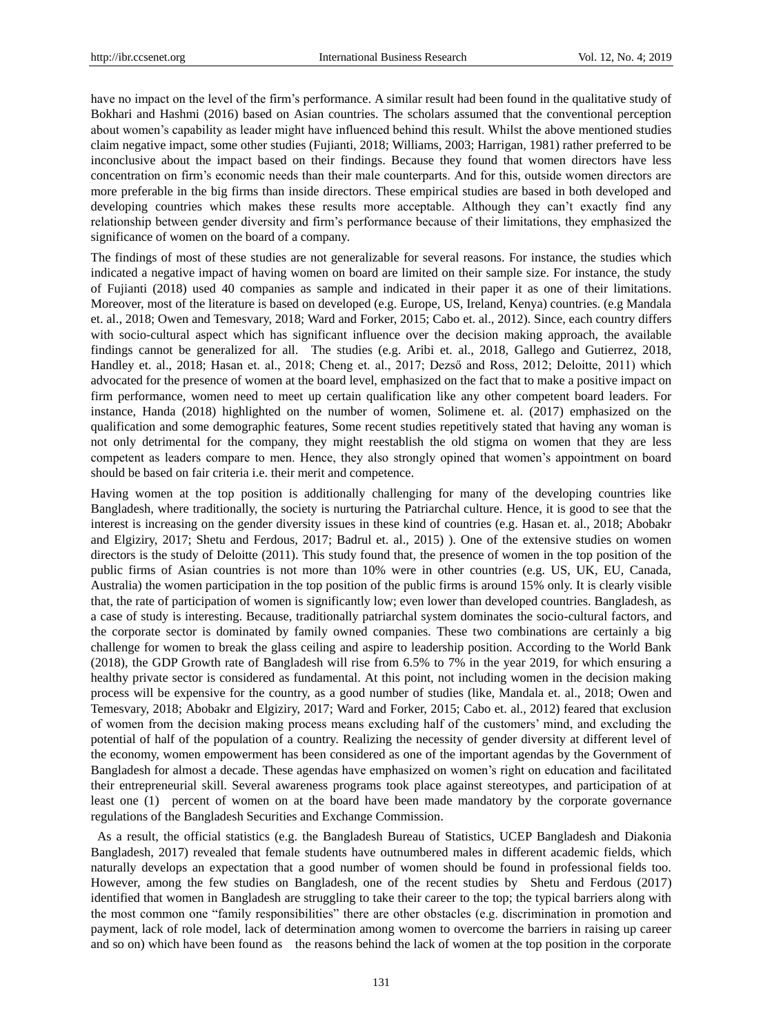have no impact on the level of the firm"s performance. A similar result had been found in the qualitative study of Bokhari and Hashmi (2016) based on Asian countries. The scholars assumed that the conventional perception about women's capability as leader might have influenced behind this result. Whilst the above mentioned studies claim negative impact, some other studies (Fujianti, 2018; Williams, 2003; Harrigan, 1981) rather preferred to be inconclusive about the impact based on their findings. Because they found that women directors have less concentration on firm"s economic needs than their male counterparts. And for this, outside women directors are more preferable in the big firms than inside directors. These empirical studies are based in both developed and developing countries which makes these results more acceptable. Although they can't exactly find any relationship between gender diversity and firm"s performance because of their limitations, they emphasized the significance of women on the board of a company.

The findings of most of these studies are not generalizable for several reasons. For instance, the studies which indicated a negative impact of having women on board are limited on their sample size. For instance, the study of Fujianti (2018) used 40 companies as sample and indicated in their paper it as one of their limitations. Moreover, most of the literature is based on developed (e.g. Europe, US, Ireland, Kenya) countries. (e.g Mandala et. al., 2018; Owen and Temesvary, 2018; Ward and Forker, 2015; Cabo et. al., 2012). Since, each country differs with socio-cultural aspect which has significant influence over the decision making approach, the available findings cannot be generalized for all. The studies (e.g. Aribi et. al., 2018, Gallego and Gutierrez, 2018, Handley et. al., 2018; Hasan et. al., 2018; Cheng et. al., 2017; Dezső and Ross, 2012; Deloitte, 2011) which advocated for the presence of women at the board level, emphasized on the fact that to make a positive impact on firm performance, women need to meet up certain qualification like any other competent board leaders. For instance, Handa (2018) highlighted on the number of women, Solimene et. al. (2017) emphasized on the qualification and some demographic features, Some recent studies repetitively stated that having any woman is not only detrimental for the company, they might reestablish the old stigma on women that they are less competent as leaders compare to men. Hence, they also strongly opined that women"s appointment on board should be based on fair criteria i.e. their merit and competence.

Having women at the top position is additionally challenging for many of the developing countries like Bangladesh, where traditionally, the society is nurturing the Patriarchal culture. Hence, it is good to see that the interest is increasing on the gender diversity issues in these kind of countries (e.g. Hasan et. al., 2018; Abobakr and Elgiziry, 2017; Shetu and Ferdous, 2017; Badrul et. al., 2015) ). One of the extensive studies on women directors is the study of Deloitte (2011). This study found that, the presence of women in the top position of the public firms of Asian countries is not more than 10% were in other countries (e.g. US, UK, EU, Canada, Australia) the women participation in the top position of the public firms is around 15% only. It is clearly visible that, the rate of participation of women is significantly low; even lower than developed countries. Bangladesh, as a case of study is interesting. Because, traditionally patriarchal system dominates the socio-cultural factors, and the corporate sector is dominated by family owned companies. These two combinations are certainly a big challenge for women to break the glass ceiling and aspire to leadership position. According to the World Bank (2018), the GDP Growth rate of Bangladesh will rise from 6.5% to 7% in the year 2019, for which ensuring a healthy private sector is considered as fundamental. At this point, not including women in the decision making process will be expensive for the country, as a good number of studies (like, Mandala et. al., 2018; Owen and Temesvary, 2018; Abobakr and Elgiziry, 2017; Ward and Forker, 2015; Cabo et. al., 2012) feared that exclusion of women from the decision making process means excluding half of the customers" mind, and excluding the potential of half of the population of a country. Realizing the necessity of gender diversity at different level of the economy, women empowerment has been considered as one of the important agendas by the Government of Bangladesh for almost a decade. These agendas have emphasized on women"s right on education and facilitated their entrepreneurial skill. Several awareness programs took place against stereotypes, and participation of at least one (1) percent of women on at the board have been made mandatory by the corporate governance regulations of the Bangladesh Securities and Exchange Commission.

As a result, the official statistics (e.g. the Bangladesh Bureau of Statistics, UCEP Bangladesh and Diakonia Bangladesh, 2017) revealed that female students have outnumbered males in different academic fields, which naturally develops an expectation that a good number of women should be found in professional fields too. However, among the few studies on Bangladesh, one of the recent studies by Shetu and Ferdous (2017) identified that women in Bangladesh are struggling to take their career to the top; the typical barriers along with the most common one "family responsibilities" there are other obstacles (e.g. discrimination in promotion and payment, lack of role model, lack of determination among women to overcome the barriers in raising up career and so on) which have been found as the reasons behind the lack of women at the top position in the corporate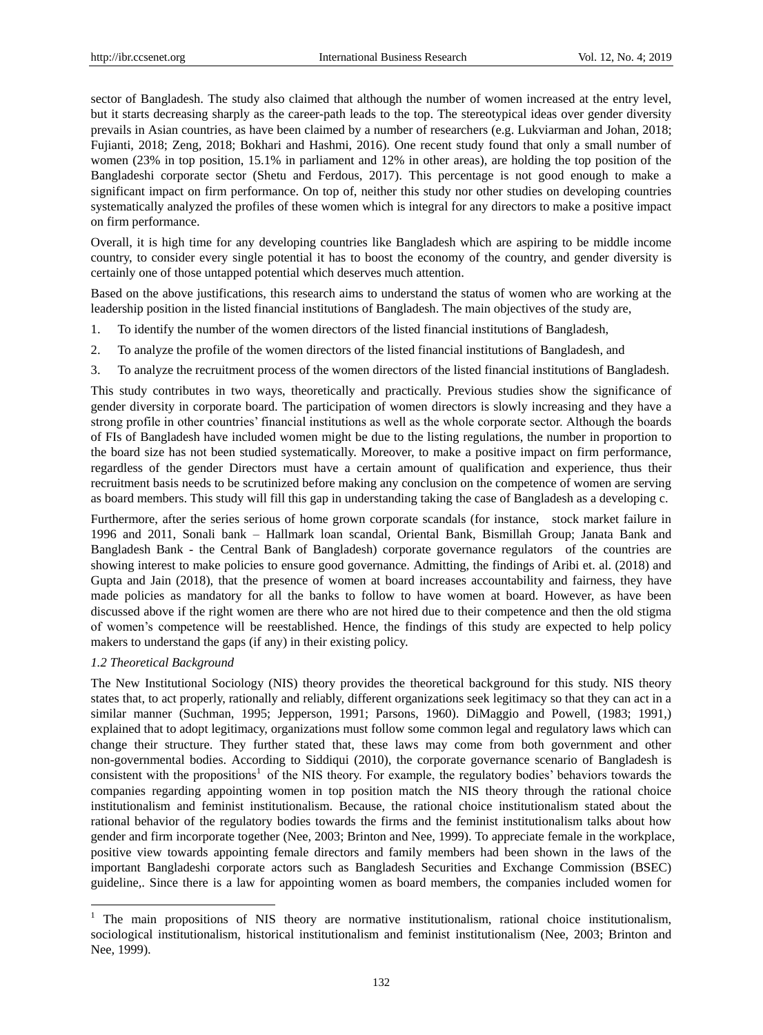sector of Bangladesh. The study also claimed that although the number of women increased at the entry level, but it starts decreasing sharply as the career-path leads to the top. The stereotypical ideas over gender diversity prevails in Asian countries, as have been claimed by a number of researchers (e.g. Lukviarman and Johan, 2018; Fujianti, 2018; Zeng, 2018; Bokhari and Hashmi, 2016). One recent study found that only a small number of women (23% in top position, 15.1% in parliament and 12% in other areas), are holding the top position of the Bangladeshi corporate sector (Shetu and Ferdous, 2017). This percentage is not good enough to make a significant impact on firm performance. On top of, neither this study nor other studies on developing countries systematically analyzed the profiles of these women which is integral for any directors to make a positive impact on firm performance.

Overall, it is high time for any developing countries like Bangladesh which are aspiring to be middle income country, to consider every single potential it has to boost the economy of the country, and gender diversity is certainly one of those untapped potential which deserves much attention.

Based on the above justifications, this research aims to understand the status of women who are working at the leadership position in the listed financial institutions of Bangladesh. The main objectives of the study are,

- 1. To identify the number of the women directors of the listed financial institutions of Bangladesh,
- 2. To analyze the profile of the women directors of the listed financial institutions of Bangladesh, and
- 3. To analyze the recruitment process of the women directors of the listed financial institutions of Bangladesh.

This study contributes in two ways, theoretically and practically. Previous studies show the significance of gender diversity in corporate board. The participation of women directors is slowly increasing and they have a strong profile in other countries" financial institutions as well as the whole corporate sector. Although the boards of FIs of Bangladesh have included women might be due to the listing regulations, the number in proportion to the board size has not been studied systematically. Moreover, to make a positive impact on firm performance, regardless of the gender Directors must have a certain amount of qualification and experience, thus their recruitment basis needs to be scrutinized before making any conclusion on the competence of women are serving as board members. This study will fill this gap in understanding taking the case of Bangladesh as a developing c.

Furthermore, after the series serious of home grown corporate scandals (for instance, stock market failure in 1996 and 2011, Sonali bank – Hallmark loan scandal, Oriental Bank, Bismillah Group; Janata Bank and Bangladesh Bank - the Central Bank of Bangladesh) corporate governance regulators of the countries are showing interest to make policies to ensure good governance. Admitting, the findings of Aribi et. al. (2018) and Gupta and Jain (2018), that the presence of women at board increases accountability and fairness, they have made policies as mandatory for all the banks to follow to have women at board. However, as have been discussed above if the right women are there who are not hired due to their competence and then the old stigma of women"s competence will be reestablished. Hence, the findings of this study are expected to help policy makers to understand the gaps (if any) in their existing policy.

#### *1.2 Theoretical Background*

-

The New Institutional Sociology (NIS) theory provides the theoretical background for this study. NIS theory states that, to act properly, rationally and reliably, different organizations seek legitimacy so that they can act in a similar manner (Suchman, 1995; Jepperson, 1991; Parsons, 1960). DiMaggio and Powell, (1983; 1991,) explained that to adopt legitimacy, organizations must follow some common legal and regulatory laws which can change their structure. They further stated that, these laws may come from both government and other non-governmental bodies. According to Siddiqui (2010), the corporate governance scenario of Bangladesh is consistent with the propositions<sup>1</sup> of the NIS theory. For example, the regulatory bodies' behaviors towards the companies regarding appointing women in top position match the NIS theory through the rational choice institutionalism and feminist institutionalism. Because, the rational choice institutionalism stated about the rational behavior of the regulatory bodies towards the firms and the feminist institutionalism talks about how gender and firm incorporate together (Nee, 2003; Brinton and Nee, 1999). To appreciate female in the workplace, positive view towards appointing female directors and family members had been shown in the laws of the important Bangladeshi corporate actors such as Bangladesh Securities and Exchange Commission (BSEC) guideline,. Since there is a law for appointing women as board members, the companies included women for

<sup>&</sup>lt;sup>1</sup> The main propositions of NIS theory are normative institutionalism, rational choice institutionalism, sociological institutionalism, historical institutionalism and feminist institutionalism (Nee, 2003; Brinton and Nee, 1999).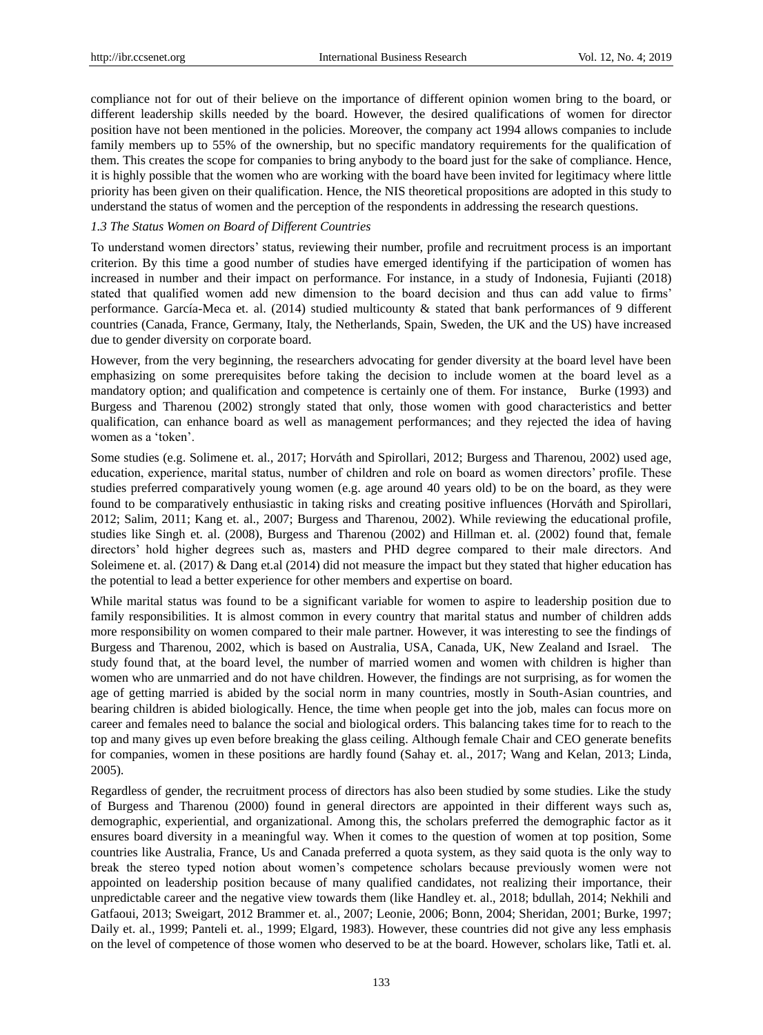compliance not for out of their believe on the importance of different opinion women bring to the board, or different leadership skills needed by the board. However, the desired qualifications of women for director position have not been mentioned in the policies. Moreover, the company act 1994 allows companies to include family members up to 55% of the ownership, but no specific mandatory requirements for the qualification of them. This creates the scope for companies to bring anybody to the board just for the sake of compliance. Hence, it is highly possible that the women who are working with the board have been invited for legitimacy where little priority has been given on their qualification. Hence, the NIS theoretical propositions are adopted in this study to understand the status of women and the perception of the respondents in addressing the research questions.

## *1.3 The Status Women on Board of Different Countries*

To understand women directors" status, reviewing their number, profile and recruitment process is an important criterion. By this time a good number of studies have emerged identifying if the participation of women has increased in number and their impact on performance. For instance, in a study of Indonesia, Fujianti (2018) stated that qualified women add new dimension to the board decision and thus can add value to firms" performance. García-Meca et. al. (2014) studied multicounty & stated that bank performances of 9 different countries (Canada, France, Germany, Italy, the Netherlands, Spain, Sweden, the UK and the US) have increased due to gender diversity on corporate board.

However, from the very beginning, the researchers advocating for gender diversity at the board level have been emphasizing on some prerequisites before taking the decision to include women at the board level as a mandatory option; and qualification and competence is certainly one of them. For instance, Burke (1993) and Burgess and Tharenou (2002) strongly stated that only, those women with good characteristics and better qualification, can enhance board as well as management performances; and they rejected the idea of having women as a 'token'.

Some studies (e.g. Solimene et. al., 2017; Horváth and Spirollari, 2012; Burgess and Tharenou, 2002) used age, education, experience, marital status, number of children and role on board as women directors" profile. These studies preferred comparatively young women (e.g. age around 40 years old) to be on the board, as they were found to be comparatively enthusiastic in taking risks and creating positive influences (Horváth and Spirollari, 2012; Salim, 2011; Kang et. al., 2007; Burgess and Tharenou, 2002). While reviewing the educational profile, studies like Singh et. al. (2008), Burgess and Tharenou (2002) and Hillman et. al. (2002) found that, female directors" hold higher degrees such as, masters and PHD degree compared to their male directors. And Soleimene et. al. (2017)  $\&$  Dang et.al (2014) did not measure the impact but they stated that higher education has the potential to lead a better experience for other members and expertise on board.

While marital status was found to be a significant variable for women to aspire to leadership position due to family responsibilities. It is almost common in every country that marital status and number of children adds more responsibility on women compared to their male partner. However, it was interesting to see the findings of Burgess and Tharenou, 2002, which is based on Australia, USA, Canada, UK, New Zealand and Israel. The study found that, at the board level, the number of married women and women with children is higher than women who are unmarried and do not have children. However, the findings are not surprising, as for women the age of getting married is abided by the social norm in many countries, mostly in South-Asian countries, and bearing children is abided biologically. Hence, the time when people get into the job, males can focus more on career and females need to balance the social and biological orders. This balancing takes time for to reach to the top and many gives up even before breaking the glass ceiling. Although female Chair and CEO generate benefits for companies, women in these positions are hardly found (Sahay et. al., 2017; Wang and Kelan, 2013; Linda, 2005).

Regardless of gender, the recruitment process of directors has also been studied by some studies. Like the study of Burgess and Tharenou (2000) found in general directors are appointed in their different ways such as, demographic, experiential, and organizational. Among this, the scholars preferred the demographic factor as it ensures board diversity in a meaningful way. When it comes to the question of women at top position, Some countries like Australia, France, Us and Canada preferred a quota system, as they said quota is the only way to break the stereo typed notion about women"s competence scholars because previously women were not appointed on leadership position because of many qualified candidates, not realizing their importance, their unpredictable career and the negative view towards them (like Handley et. al., 2018; bdullah, 2014; Nekhili and Gatfaoui, 2013; Sweigart, 2012 Brammer et. al., 2007; Leonie, 2006; Bonn, 2004; Sheridan, 2001; Burke, 1997; Daily et. al., 1999; Panteli et. al., 1999; Elgard, 1983). However, these countries did not give any less emphasis on the level of competence of those women who deserved to be at the board. However, scholars like, Tatli et. al.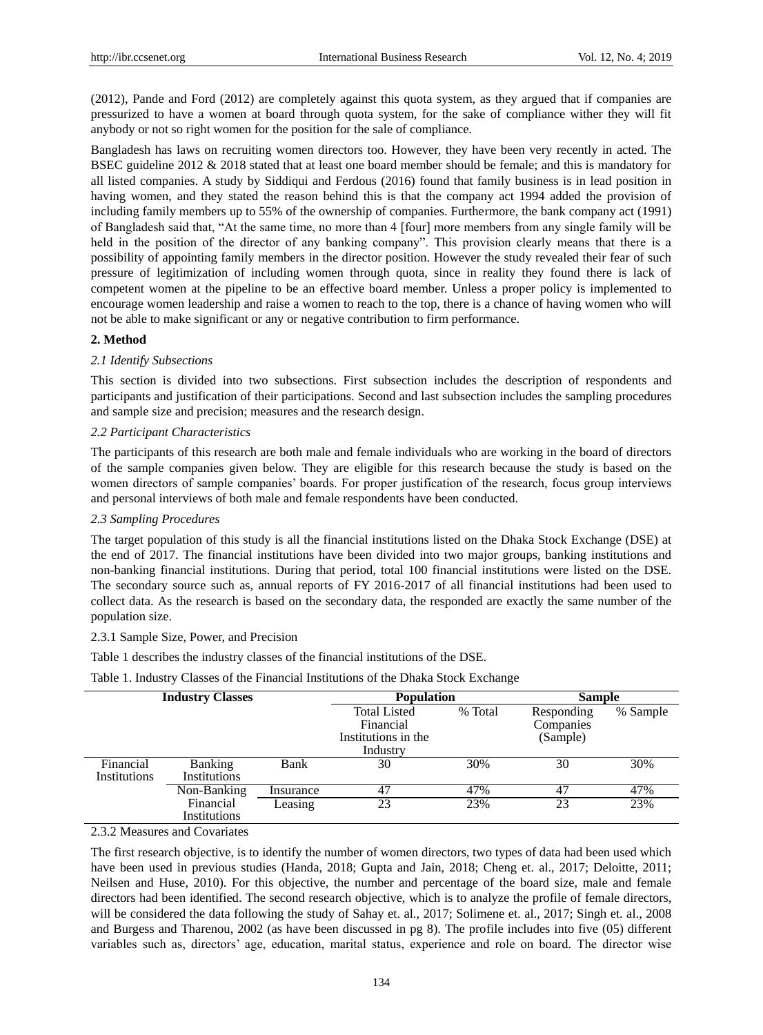(2012), Pande and Ford (2012) are completely against this quota system, as they argued that if companies are pressurized to have a women at board through quota system, for the sake of compliance wither they will fit anybody or not so right women for the position for the sale of compliance.

Bangladesh has laws on recruiting women directors too. However, they have been very recently in acted. The BSEC guideline 2012 & 2018 stated that at least one board member should be female; and this is mandatory for all listed companies. A study by Siddiqui and Ferdous (2016) found that family business is in lead position in having women, and they stated the reason behind this is that the company act 1994 added the provision of including family members up to 55% of the ownership of companies. Furthermore, the bank company act (1991) of Bangladesh said that, "At the same time, no more than 4 [four] more members from any single family will be held in the position of the director of any banking company". This provision clearly means that there is a possibility of appointing family members in the director position. However the study revealed their fear of such pressure of legitimization of including women through quota, since in reality they found there is lack of competent women at the pipeline to be an effective board member. Unless a proper policy is implemented to encourage women leadership and raise a women to reach to the top, there is a chance of having women who will not be able to make significant or any or negative contribution to firm performance.

## **2. Method**

#### *2.1 Identify Subsections*

This section is divided into two subsections. First subsection includes the description of respondents and participants and justification of their participations. Second and last subsection includes the sampling procedures and sample size and precision; measures and the research design.

### *2.2 Participant Characteristics*

The participants of this research are both male and female individuals who are working in the board of directors of the sample companies given below. They are eligible for this research because the study is based on the women directors of sample companies" boards. For proper justification of the research, focus group interviews and personal interviews of both male and female respondents have been conducted.

#### *2.3 Sampling Procedures*

The target population of this study is all the financial institutions listed on the Dhaka Stock Exchange (DSE) at the end of 2017. The financial institutions have been divided into two major groups, banking institutions and non-banking financial institutions. During that period, total 100 financial institutions were listed on the DSE. The secondary source such as, annual reports of FY 2016-2017 of all financial institutions had been used to collect data. As the research is based on the secondary data, the responded are exactly the same number of the population size.

#### 2.3.1 Sample Size, Power, and Precision

Table 1 describes the industry classes of the financial institutions of the DSE.

| Table 1. Industry Classes of the Financial Institutions of the Dhaka Stock Exchange |  |
|-------------------------------------------------------------------------------------|--|
|-------------------------------------------------------------------------------------|--|

| <b>Industry Classes</b> |                |           | <b>Population</b>                                       |         |                                     | <b>Sample</b> |  |
|-------------------------|----------------|-----------|---------------------------------------------------------|---------|-------------------------------------|---------------|--|
|                         |                |           | <b>Total Listed</b><br>Financial<br>Institutions in the | % Total | Responding<br>Companies<br>(Sample) | % Sample      |  |
|                         |                |           | Industry                                                |         |                                     |               |  |
| Financial               | <b>Banking</b> | Bank      | 30                                                      | 30%     | 30                                  | 30%           |  |
| Institutions            | Institutions   |           |                                                         |         |                                     |               |  |
|                         | Non-Banking    | Insurance | 47                                                      | 47%     | 47                                  | 47%           |  |
|                         | Financial      | Leasing   | 23                                                      | 23%     | 23                                  | 23%           |  |
|                         | Institutions   |           |                                                         |         |                                     |               |  |

2.3.2 Measures and Covariates

The first research objective, is to identify the number of women directors, two types of data had been used which have been used in previous studies (Handa, 2018; Gupta and Jain, 2018; Cheng et. al., 2017; Deloitte, 2011; Neilsen and Huse, 2010). For this objective, the number and percentage of the board size, male and female directors had been identified. The second research objective, which is to analyze the profile of female directors, will be considered the data following the study of Sahay et. al., 2017; Solimene et. al., 2017; Singh et. al., 2008 and Burgess and Tharenou, 2002 (as have been discussed in pg 8). The profile includes into five (05) different variables such as, directors" age, education, marital status, experience and role on board. The director wise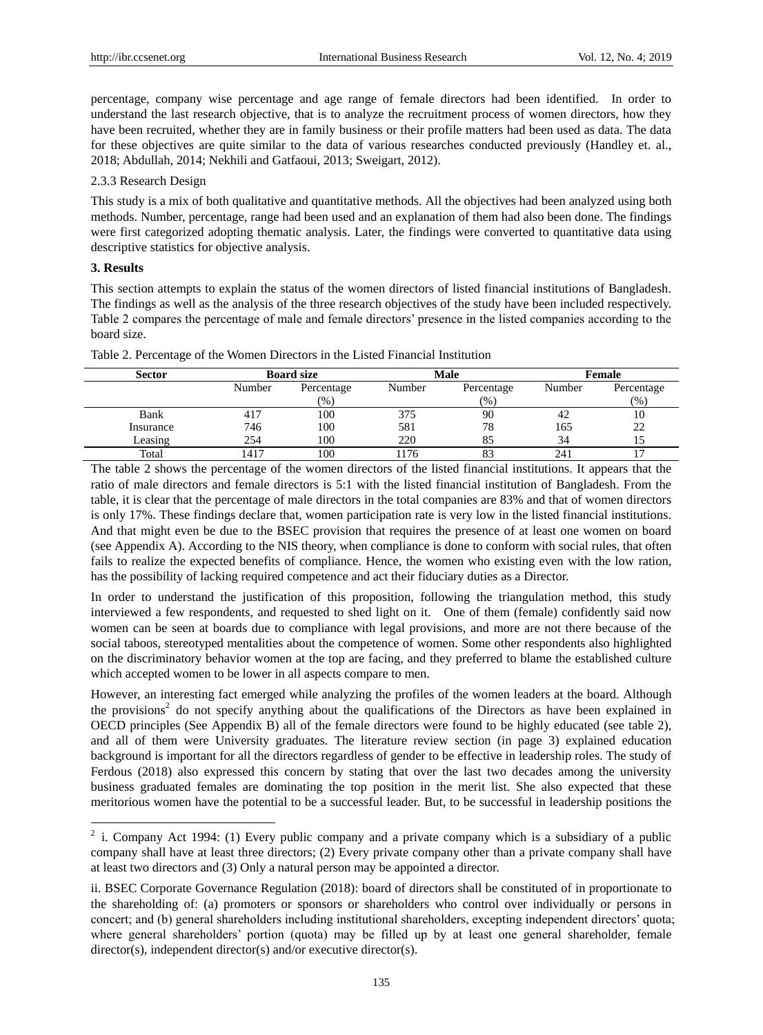percentage, company wise percentage and age range of female directors had been identified. In order to understand the last research objective, that is to analyze the recruitment process of women directors, how they have been recruited, whether they are in family business or their profile matters had been used as data. The data for these objectives are quite similar to the data of various researches conducted previously (Handley et. al., 2018; Abdullah, 2014; Nekhili and Gatfaoui, 2013; Sweigart, 2012).

#### 2.3.3 Research Design

This study is a mix of both qualitative and quantitative methods. All the objectives had been analyzed using both methods. Number, percentage, range had been used and an explanation of them had also been done. The findings were first categorized adopting thematic analysis. Later, the findings were converted to quantitative data using descriptive statistics for objective analysis.

## **3. Results**

This section attempts to explain the status of the women directors of listed financial institutions of Bangladesh. The findings as well as the analysis of the three research objectives of the study have been included respectively. Table 2 compares the percentage of male and female directors" presence in the listed companies according to the board size.

| Sector    | <b>Board size</b> |            | Male   |            | Female |            |
|-----------|-------------------|------------|--------|------------|--------|------------|
|           | Number            | Percentage | Number | Percentage | Number | Percentage |
|           |                   | $(\% )$    |        | (96)       |        | (%)        |
| Bank      | 417               | 100        | 375    | 90         | 42     | 10         |
| Insurance | 746               | 100        | 581    | 78         | 165    | 22         |
| Leasing   | 254               | 100        | 220    | 85         | 34     |            |
| Total     | 1417              | 100        | 176    | $\Omega$   | 241    |            |

Table 2. Percentage of the Women Directors in the Listed Financial Institution

The table 2 shows the percentage of the women directors of the listed financial institutions. It appears that the ratio of male directors and female directors is 5:1 with the listed financial institution of Bangladesh. From the table, it is clear that the percentage of male directors in the total companies are 83% and that of women directors is only 17%. These findings declare that, women participation rate is very low in the listed financial institutions. And that might even be due to the BSEC provision that requires the presence of at least one women on board (see Appendix A). According to the NIS theory, when compliance is done to conform with social rules, that often fails to realize the expected benefits of compliance. Hence, the women who existing even with the low ration, has the possibility of lacking required competence and act their fiduciary duties as a Director.

In order to understand the justification of this proposition, following the triangulation method, this study interviewed a few respondents, and requested to shed light on it. One of them (female) confidently said now women can be seen at boards due to compliance with legal provisions, and more are not there because of the social taboos, stereotyped mentalities about the competence of women. Some other respondents also highlighted on the discriminatory behavior women at the top are facing, and they preferred to blame the established culture which accepted women to be lower in all aspects compare to men.

However, an interesting fact emerged while analyzing the profiles of the women leaders at the board. Although the provisions<sup>2</sup> do not specify anything about the qualifications of the Directors as have been explained in OECD principles (See Appendix B) all of the female directors were found to be highly educated (see table 2), and all of them were University graduates. The literature review section (in page 3) explained education background is important for all the directors regardless of gender to be effective in leadership roles. The study of Ferdous (2018) also expressed this concern by stating that over the last two decades among the university business graduated females are dominating the top position in the merit list. She also expected that these meritorious women have the potential to be a successful leader. But, to be successful in leadership positions the

<sup>&</sup>lt;sup>2</sup> i. Company Act 1994: (1) Every public company and a private company which is a subsidiary of a public company shall have at least three directors; (2) Every private company other than a private company shall have at least two directors and (3) Only a natural person may be appointed a director.

ii. BSEC Corporate Governance Regulation (2018): board of directors shall be constituted of in proportionate to the shareholding of: (a) promoters or sponsors or shareholders who control over individually or persons in concert; and (b) general shareholders including institutional shareholders, excepting independent directors" quota; where general shareholders" portion (quota) may be filled up by at least one general shareholder, female director(s), independent director(s) and/or executive director(s).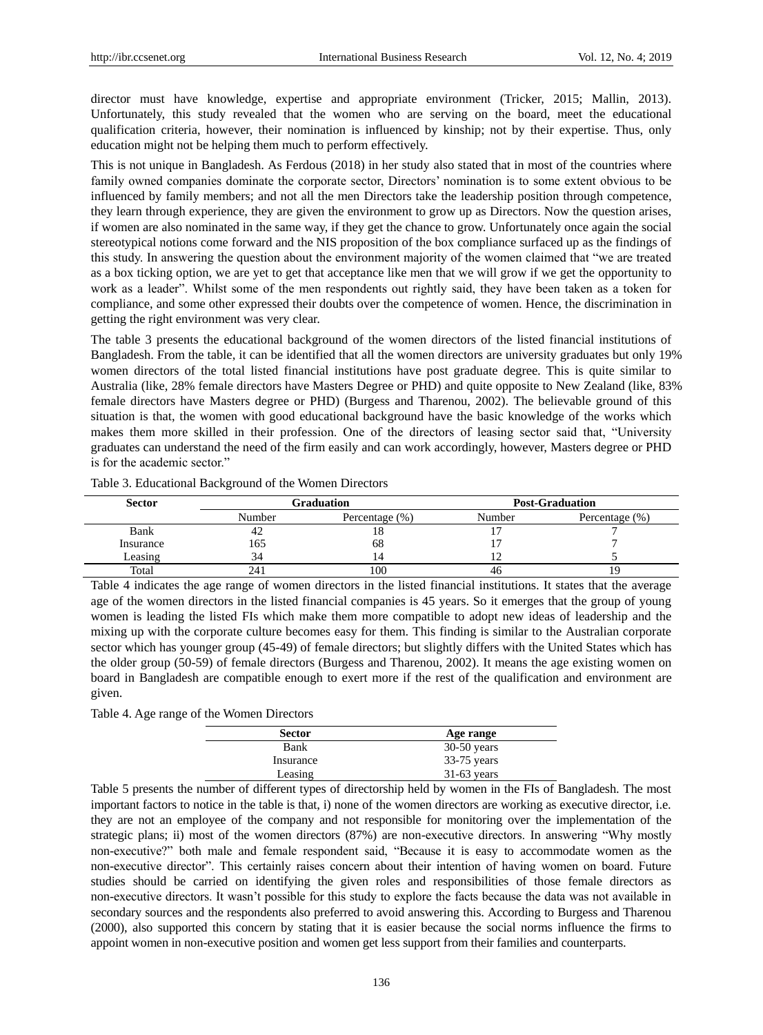director must have knowledge, expertise and appropriate environment (Tricker, 2015; Mallin, 2013). Unfortunately, this study revealed that the women who are serving on the board, meet the educational qualification criteria, however, their nomination is influenced by kinship; not by their expertise. Thus, only education might not be helping them much to perform effectively.

This is not unique in Bangladesh. As Ferdous (2018) in her study also stated that in most of the countries where family owned companies dominate the corporate sector, Directors" nomination is to some extent obvious to be influenced by family members; and not all the men Directors take the leadership position through competence, they learn through experience, they are given the environment to grow up as Directors. Now the question arises, if women are also nominated in the same way, if they get the chance to grow. Unfortunately once again the social stereotypical notions come forward and the NIS proposition of the box compliance surfaced up as the findings of this study. In answering the question about the environment majority of the women claimed that "we are treated as a box ticking option, we are yet to get that acceptance like men that we will grow if we get the opportunity to work as a leader". Whilst some of the men respondents out rightly said, they have been taken as a token for compliance, and some other expressed their doubts over the competence of women. Hence, the discrimination in getting the right environment was very clear.

The table 3 presents the educational background of the women directors of the listed financial institutions of Bangladesh. From the table, it can be identified that all the women directors are university graduates but only 19% women directors of the total listed financial institutions have post graduate degree. This is quite similar to Australia (like, 28% female directors have Masters Degree or PHD) and quite opposite to New Zealand (like, 83% female directors have Masters degree or PHD) (Burgess and Tharenou, 2002). The believable ground of this situation is that, the women with good educational background have the basic knowledge of the works which makes them more skilled in their profession. One of the directors of leasing sector said that, "University graduates can understand the need of the firm easily and can work accordingly, however, Masters degree or PHD is for the academic sector."

| <b>Sector</b> |        | Graduation        | <b>Post-Graduation</b> |                |  |
|---------------|--------|-------------------|------------------------|----------------|--|
|               | Number | Percentage $(\%)$ |                        | Percentage (%) |  |
| Bank          |        |                   |                        |                |  |
| Insurance     | 165    | 68                |                        |                |  |
| Leasing       | 34     |                   |                        |                |  |
| Total         |        | 100               | 40                     |                |  |

Table 3. Educational Background of the Women Directors

Table 4 indicates the age range of women directors in the listed financial institutions. It states that the average age of the women directors in the listed financial companies is 45 years. So it emerges that the group of young women is leading the listed FIs which make them more compatible to adopt new ideas of leadership and the mixing up with the corporate culture becomes easy for them. This finding is similar to the Australian corporate sector which has younger group (45-49) of female directors; but slightly differs with the United States which has the older group (50-59) of female directors (Burgess and Tharenou, 2002). It means the age existing women on board in Bangladesh are compatible enough to exert more if the rest of the qualification and environment are given.

| <b>Sector</b> | Age range     |
|---------------|---------------|
| Bank          | $30-50$ years |
| Insurance     | $33-75$ years |
| Leasing       | $31-63$ years |

Table 5 presents the number of different types of directorship held by women in the FIs of Bangladesh. The most important factors to notice in the table is that, i) none of the women directors are working as executive director, i.e. they are not an employee of the company and not responsible for monitoring over the implementation of the strategic plans; ii) most of the women directors (87%) are non-executive directors. In answering "Why mostly non-executive?" both male and female respondent said, "Because it is easy to accommodate women as the non-executive director". This certainly raises concern about their intention of having women on board. Future studies should be carried on identifying the given roles and responsibilities of those female directors as non-executive directors. It wasn"t possible for this study to explore the facts because the data was not available in secondary sources and the respondents also preferred to avoid answering this. According to Burgess and Tharenou (2000), also supported this concern by stating that it is easier because the social norms influence the firms to appoint women in non-executive position and women get less support from their families and counterparts.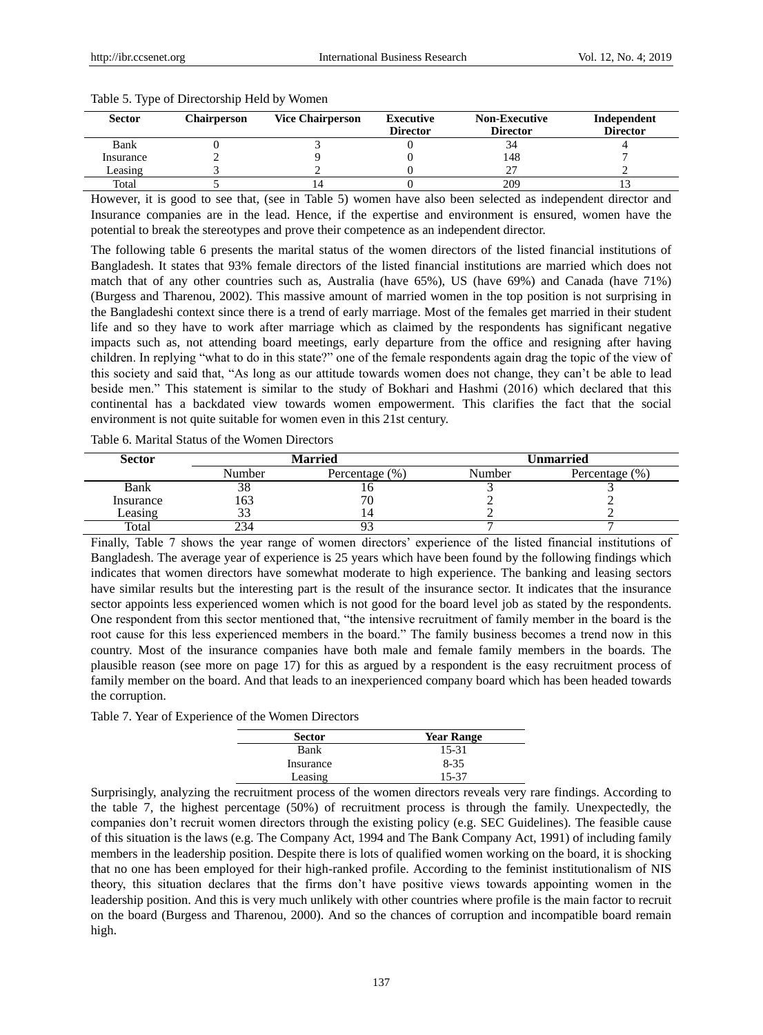| <b>Sector</b> | <b>Chairperson</b> | <b>Vice Chairperson</b> | Executive<br><b>Director</b> | <b>Non-Executive</b><br><b>Director</b> | Independent<br><b>Director</b> |
|---------------|--------------------|-------------------------|------------------------------|-----------------------------------------|--------------------------------|
| Bank          |                    |                         |                              | 34                                      |                                |
| Insurance     |                    |                         |                              | 148                                     |                                |
| Leasing       |                    |                         |                              |                                         |                                |
| Total         |                    |                         |                              | 209                                     |                                |

#### Table 5. Type of Directorship Held by Women

However, it is good to see that, (see in Table 5) women have also been selected as independent director and Insurance companies are in the lead. Hence, if the expertise and environment is ensured, women have the potential to break the stereotypes and prove their competence as an independent director.

The following table 6 presents the marital status of the women directors of the listed financial institutions of Bangladesh. It states that 93% female directors of the listed financial institutions are married which does not match that of any other countries such as, Australia (have 65%), US (have 69%) and Canada (have 71%) (Burgess and Tharenou, 2002). This massive amount of married women in the top position is not surprising in the Bangladeshi context since there is a trend of early marriage. Most of the females get married in their student life and so they have to work after marriage which as claimed by the respondents has significant negative impacts such as, not attending board meetings, early departure from the office and resigning after having children. In replying "what to do in this state?" one of the female respondents again drag the topic of the view of this society and said that, "As long as our attitude towards women does not change, they can"t be able to lead beside men." This statement is similar to the study of Bokhari and Hashmi (2016) which declared that this continental has a backdated view towards women empowerment. This clarifies the fact that the social environment is not quite suitable for women even in this 21st century.

Table 6. Marital Status of the Women Directors

| <b>Sector</b> |        | Married           | Unmarried |                   |  |
|---------------|--------|-------------------|-----------|-------------------|--|
|               | Number | Percentage $(\%)$ | Number    | Percentage $(\%)$ |  |
| Bank          | აა     |                   |           |                   |  |
| Insurance     | -63    | 71                |           |                   |  |
| Leasing       |        |                   |           |                   |  |
| Total         | 234    |                   |           |                   |  |

Finally, Table 7 shows the year range of women directors' experience of the listed financial institutions of Bangladesh. The average year of experience is 25 years which have been found by the following findings which indicates that women directors have somewhat moderate to high experience. The banking and leasing sectors have similar results but the interesting part is the result of the insurance sector. It indicates that the insurance sector appoints less experienced women which is not good for the board level job as stated by the respondents. One respondent from this sector mentioned that, "the intensive recruitment of family member in the board is the root cause for this less experienced members in the board." The family business becomes a trend now in this country. Most of the insurance companies have both male and female family members in the boards. The plausible reason (see more on page 17) for this as argued by a respondent is the easy recruitment process of family member on the board. And that leads to an inexperienced company board which has been headed towards the corruption.

Table 7. Year of Experience of the Women Directors

| <b>Sector</b> | <b>Year Range</b> |
|---------------|-------------------|
| Bank          | 15-31             |
| Insurance     | $8 - 35$          |
| Leasing       | 15-37             |

Surprisingly, analyzing the recruitment process of the women directors reveals very rare findings. According to the table 7, the highest percentage (50%) of recruitment process is through the family. Unexpectedly, the companies don"t recruit women directors through the existing policy (e.g. SEC Guidelines). The feasible cause of this situation is the laws (e.g. The Company Act, 1994 and The Bank Company Act, 1991) of including family members in the leadership position. Despite there is lots of qualified women working on the board, it is shocking that no one has been employed for their high-ranked profile. According to the feminist institutionalism of NIS theory, this situation declares that the firms don"t have positive views towards appointing women in the leadership position. And this is very much unlikely with other countries where profile is the main factor to recruit on the board (Burgess and Tharenou, 2000). And so the chances of corruption and incompatible board remain high.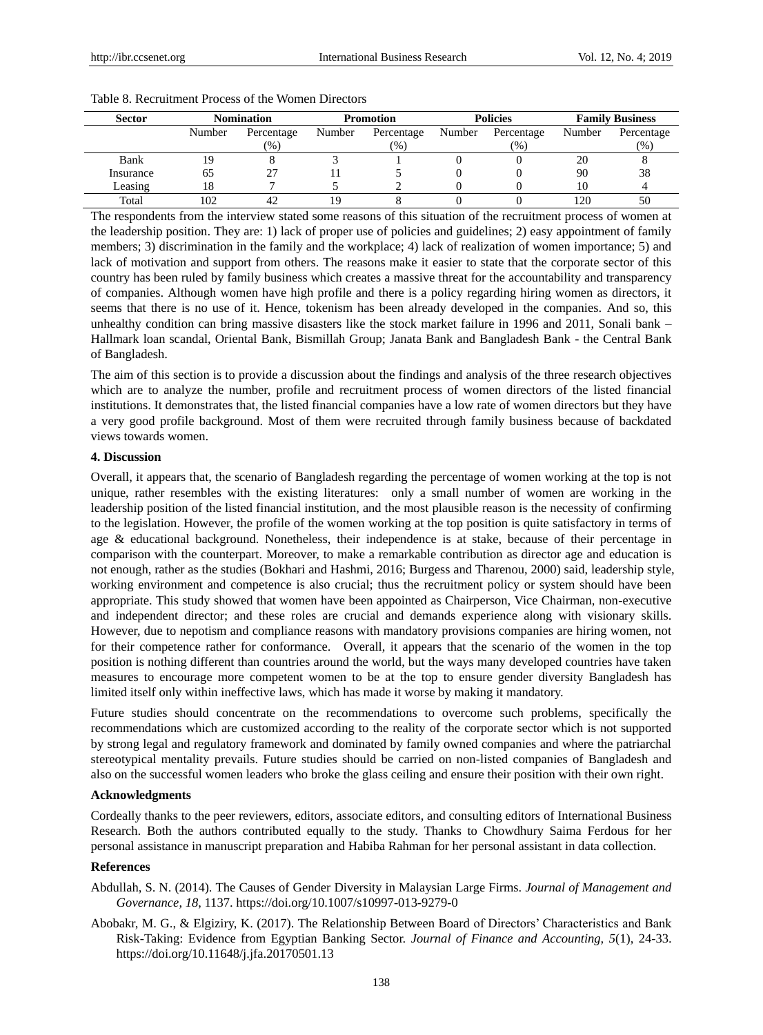| <b>Sector</b> | <b>Nomination</b> |            | <b>Promotion</b> |            | <b>Policies</b> |            | <b>Family Business</b> |            |
|---------------|-------------------|------------|------------------|------------|-----------------|------------|------------------------|------------|
|               | Number            | Percentage | Number           | Percentage | Number          | Percentage | Number                 | Percentage |
|               |                   | (96)       |                  | (96)       |                 | (96)       |                        | (96)       |
| Bank          |                   |            |                  |            |                 |            | 20                     |            |
| Insurance     | 65                |            |                  |            |                 |            | 90                     | 38         |
| Leasing       |                   |            |                  |            |                 |            | 10                     |            |
| Total         | 102               |            |                  |            |                 |            | 20                     | 50         |

## Table 8. Recruitment Process of the Women Directors

The respondents from the interview stated some reasons of this situation of the recruitment process of women at the leadership position. They are: 1) lack of proper use of policies and guidelines; 2) easy appointment of family members; 3) discrimination in the family and the workplace; 4) lack of realization of women importance; 5) and lack of motivation and support from others. The reasons make it easier to state that the corporate sector of this country has been ruled by family business which creates a massive threat for the accountability and transparency of companies. Although women have high profile and there is a policy regarding hiring women as directors, it seems that there is no use of it. Hence, tokenism has been already developed in the companies. And so, this unhealthy condition can bring massive disasters like the stock market failure in 1996 and 2011, Sonali bank – Hallmark loan scandal, Oriental Bank, Bismillah Group; Janata Bank and Bangladesh Bank - the Central Bank of Bangladesh.

The aim of this section is to provide a discussion about the findings and analysis of the three research objectives which are to analyze the number, profile and recruitment process of women directors of the listed financial institutions. It demonstrates that, the listed financial companies have a low rate of women directors but they have a very good profile background. Most of them were recruited through family business because of backdated views towards women.

## **4. Discussion**

Overall, it appears that, the scenario of Bangladesh regarding the percentage of women working at the top is not unique, rather resembles with the existing literatures: only a small number of women are working in the leadership position of the listed financial institution, and the most plausible reason is the necessity of confirming to the legislation. However, the profile of the women working at the top position is quite satisfactory in terms of age & educational background. Nonetheless, their independence is at stake, because of their percentage in comparison with the counterpart. Moreover, to make a remarkable contribution as director age and education is not enough, rather as the studies (Bokhari and Hashmi, 2016; Burgess and Tharenou, 2000) said, leadership style, working environment and competence is also crucial; thus the recruitment policy or system should have been appropriate. This study showed that women have been appointed as Chairperson, Vice Chairman, non-executive and independent director; and these roles are crucial and demands experience along with visionary skills. However, due to nepotism and compliance reasons with mandatory provisions companies are hiring women, not for their competence rather for conformance. Overall, it appears that the scenario of the women in the top position is nothing different than countries around the world, but the ways many developed countries have taken measures to encourage more competent women to be at the top to ensure gender diversity Bangladesh has limited itself only within ineffective laws, which has made it worse by making it mandatory.

Future studies should concentrate on the recommendations to overcome such problems, specifically the recommendations which are customized according to the reality of the corporate sector which is not supported by strong legal and regulatory framework and dominated by family owned companies and where the patriarchal stereotypical mentality prevails. Future studies should be carried on non-listed companies of Bangladesh and also on the successful women leaders who broke the glass ceiling and ensure their position with their own right.

## **Acknowledgments**

Cordeally thanks to the peer reviewers, editors, associate editors, and consulting editors of International Business Research. Both the authors contributed equally to the study. Thanks to Chowdhury Saima Ferdous for her personal assistance in manuscript preparation and Habiba Rahman for her personal assistant in data collection.

#### **References**

- Abdullah, S. N. (2014). The Causes of Gender Diversity in Malaysian Large Firms. *Journal of Management and Governance*, *18*, 1137.<https://doi.org/10.1007/s10997-013-9279-0>
- Abobakr, M. G., & Elgiziry, K. (2017). The Relationship Between Board of Directors" Characteristics and Bank Risk-Taking: Evidence from Egyptian Banking Sector. *Journal of Finance and Accounting, 5*(1), 24-33. <https://doi.org/10.11648/j.jfa.20170501.13>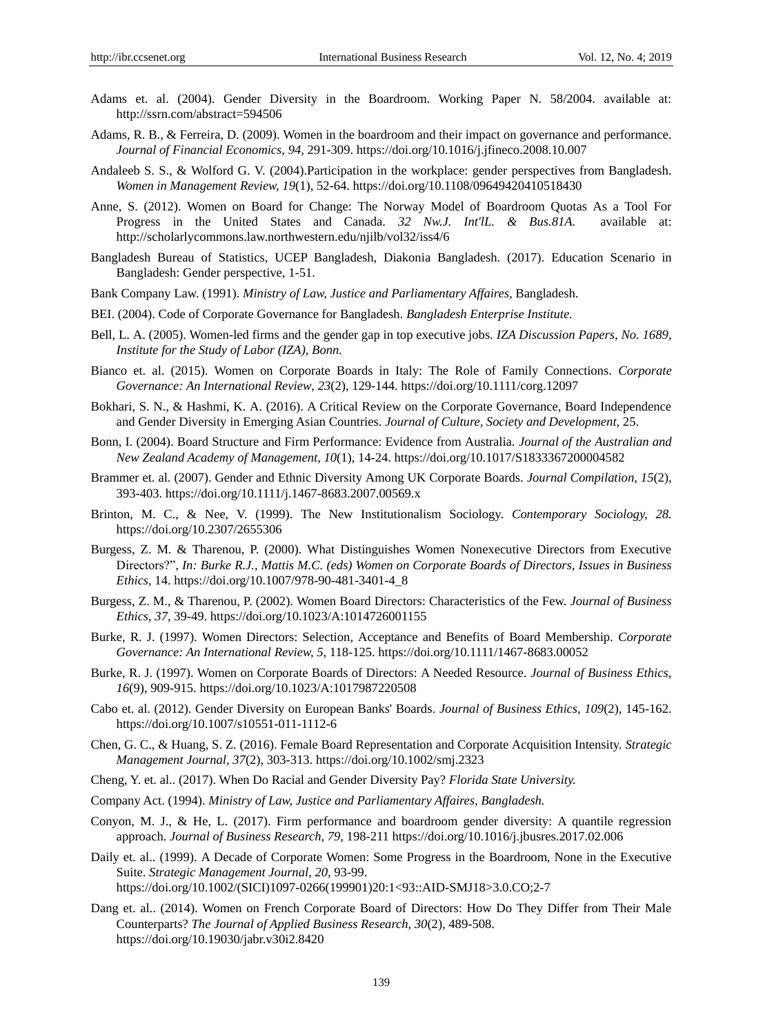- Adams et. al. (2004). Gender Diversity in the Boardroom. Working Paper N. 58/2004. available at: <http://ssrn.com/abstract=594506>
- Adams, R. B., & Ferreira, D. (2009). Women in the boardroom and their impact on governance and performance. *Journal of Financial Economics*, *94,* 291-309.<https://doi.org/10.1016/j.jfineco.2008.10.007>
- Andaleeb S. S., & Wolford G. V. (2004).Participation in the workplace: gender perspectives from Bangladesh. *Women in Management Review, 19*(1), 52-64. https://doi.org/10.1108/09649420410518430
- Anne, S. (2012). Women on Board for Change: The Norway Model of Boardroom Quotas As a Tool For Progress in the United States and Canada. *32 Nw.J. Int'lL. & Bus.81A.* available at: <http://scholarlycommons.law.northwestern.edu/njilb/vol32/iss4/6>
- Bangladesh Bureau of Statistics, UCEP Bangladesh, Diakonia Bangladesh. (2017). Education Scenario in Bangladesh: Gender perspective, 1-51.
- Bank Company Law. (1991). *Ministry of Law, Justice and Parliamentary Affaires,* Bangladesh.
- BEI. (2004). Code of Corporate Governance for Bangladesh. *Bangladesh Enterprise Institute.*
- Bell, L. A. (2005). Women-led firms and the gender gap in top executive jobs. *IZA Discussion Papers, No. 1689, Institute for the Study of Labor (IZA), Bonn.*
- Bianco et. al. (2015). Women on Corporate Boards in Italy: The Role of Family Connections. *Corporate Governance: An International Review*, *23*(2), 129-144.<https://doi.org/10.1111/corg.12097>
- Bokhari, S. N., & Hashmi, K. A. (2016). A Critical Review on the Corporate Governance, Board Independence and Gender Diversity in Emerging Asian Countries. *Journal of Culture, Society and Development,* 25.
- Bonn, I. (2004). Board Structure and Firm Performance: Evidence from Australia. *Journal of the Australian and New Zealand Academy of Management*, *10*(1), 14-24. https://doi.org/10.1017/S1833367200004582
- Brammer et. al. (2007). Gender and Ethnic Diversity Among UK Corporate Boards. *Journal Compilation*, *15*(2), 393-403. https://doi.org/10.1111/j.1467-8683.2007.00569.x
- Brinton, M. C., & Nee, V. (1999). The New Institutionalism Sociology. *Contemporary Sociology, 28.*  <https://doi.org/10.2307/2655306>
- Burgess, Z. M. & Tharenou, P. (2000). What Distinguishes Women Nonexecutive Directors from Executive Directors?", *In: Burke R.J., Mattis M.C. (eds) Women on Corporate Boards of Directors, Issues in Business Ethics,* 14. [https://doi.org/10.1007/978-90-481-3401-4\\_8](https://doi.org/10.1007/978-90-481-3401-4_8)
- Burgess, Z. M., & Tharenou, P. (2002). Women Board Directors: Characteristics of the Few. *Journal of Business Ethics*, *37,* 39-49. https://doi.org/10.1023/A:1014726001155
- Burke, R. J. (1997). Women Directors: Selection, Acceptance and Benefits of Board Membership. *Corporate Governance: An International Review, 5,* 118-125.<https://doi.org/10.1111/1467-8683.00052>
- Burke, R. J. (1997). Women on Corporate Boards of Directors: A Needed Resource. *Journal of Business Ethics, 16*(9), 909-915. https://doi.org/10.1023/A:1017987220508
- Cabo et. al. (2012). Gender Diversity on European Banks' Boards. *Journal of Business Ethics*, *109*(2), 145-162. https://doi.org/10.1007/s10551-011-1112-6
- Chen, G. C., & Huang, S. Z. (2016). Female Board Representation and Corporate Acquisition Intensity. *Strategic Management Journal, 37*(2), 303-313. https://doi.org/10.1002/smj.2323
- Cheng, Y. et. al.. (2017). When Do Racial and Gender Diversity Pay? *Florida State University.*
- Company Act. (1994). *Ministry of Law, Justice and Parliamentary Affaires, Bangladesh.*
- Conyon, M. J., & He, L. (2017). Firm performance and boardroom gender diversity: A quantile regression approach. *Journal of Business Research, 79,* 198-211<https://doi.org/10.1016/j.jbusres.2017.02.006>
- Daily et. al.. (1999). A Decade of Corporate Women: Some Progress in the Boardroom, None in the Executive Suite. *Strategic Management Journal*, *20,* 93-99. https://doi.org/10.1002/(SICI)1097-0266(199901)20:1<93::AID-SMJ18>3.0.CO;2-7
- Dang et. al.. (2014). Women on French Corporate Board of Directors: How Do They Differ from Their Male Counterparts? *The Journal of Applied Business Research, 30*(2), 489-508. https://doi.org/10.19030/jabr.v30i2.8420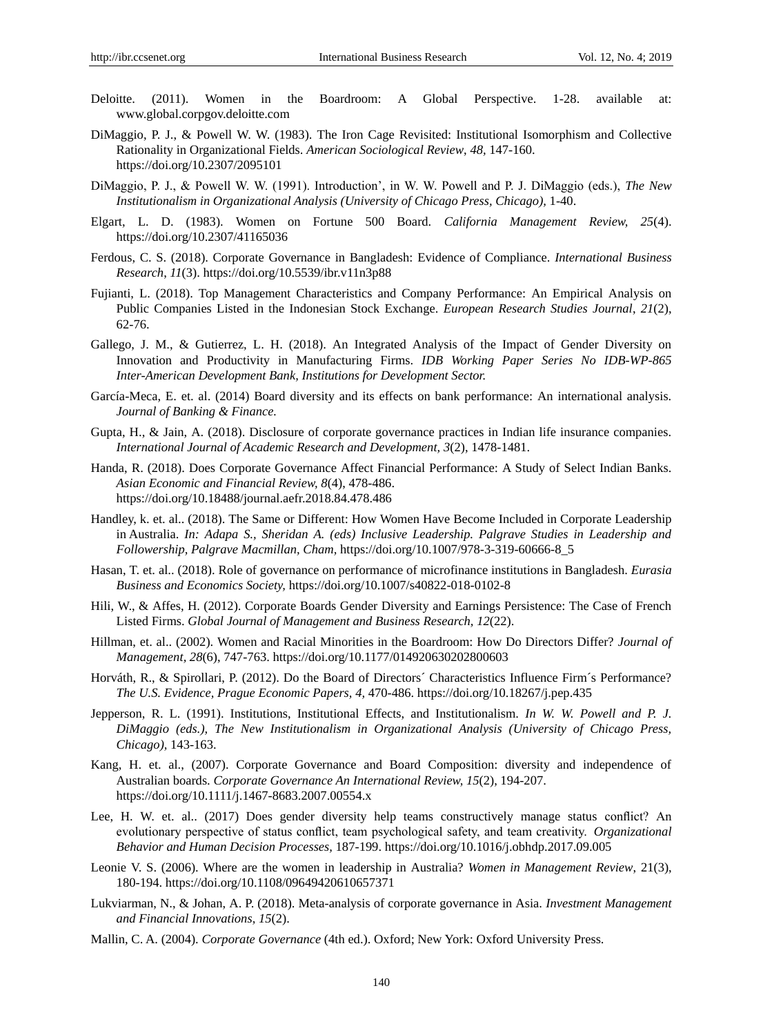- Deloitte. (2011). Women in the Boardroom: A Global Perspective. 1-28. available at: [www.global.corpgov.deloitte.com](http://www.global.corpgov.deloitte.com/)
- DiMaggio, P. J., & Powell W. W. (1983). The Iron Cage Revisited: Institutional Isomorphism and Collective Rationality in Organizational Fields. *American Sociological Review*, *48,* 147-160. https://doi.org/10.2307/2095101
- DiMaggio, P. J., & Powell W. W. (1991). Introduction", in W. W. Powell and P. J. DiMaggio (eds.), *The New Institutionalism in Organizational Analysis (University of Chicago Press, Chicago),* 1-40.
- Elgart, L. D. (1983). Women on Fortune 500 Board. *California Management Review, 25*(4). https://doi.org/10.2307/41165036
- Ferdous, C. S. (2018). Corporate Governance in Bangladesh: Evidence of Compliance. *International Business Research*, *11*(3)[. https://doi.org/10.5539/ibr.v11n3p88](https://doi.org/10.5539/ibr.v11n3p88)
- Fujianti, L. (2018). Top Management Characteristics and Company Performance: An Empirical Analysis on Public Companies Listed in the Indonesian Stock Exchange. *European Research Studies Journal*, *21*(2), 62-76.
- Gallego, J. M., & Gutierrez, L. H. (2018). An Integrated Analysis of the Impact of Gender Diversity on Innovation and Productivity in Manufacturing Firms. *IDB Working Paper Series No IDB-WP-865 Inter-American Development Bank, Institutions for Development Sector.*
- Garc á-Meca, E. et. al. (2014) Board diversity and its effects on bank performance: An international analysis. *Journal of Banking & Finance.*
- Gupta, H., & Jain, A. (2018). Disclosure of corporate governance practices in Indian life insurance companies. *International Journal of Academic Research and Development, 3*(2), 1478-1481.
- Handa, R. (2018). Does Corporate Governance Affect Financial Performance: A Study of Select Indian Banks. *Asian Economic and Financial Review, 8*(4), 478-486. <https://doi.org/10.18488/journal.aefr.2018.84.478.486>
- Handley, k. et. al.. (2018). The Same or Different: How Women Have Become Included in Corporate Leadership in Australia. *In: Adapa S., Sheridan A. (eds) Inclusive Leadership. Palgrave Studies in Leadership and Followership, Palgrave Macmillan, Cham,* [https://doi.org/10.1007/978-3-319-60666-8\\_5](https://doi.org/10.1007/978-3-319-60666-8_5)
- Hasan, T. et. al.. (2018). Role of governance on performance of microfinance institutions in Bangladesh. *Eurasia Business and Economics Society,* <https://doi.org/10.1007/s40822-018-0102-8>
- Hili, W., & Affes, H. (2012). Corporate Boards Gender Diversity and Earnings Persistence: The Case of French Listed Firms. *Global Journal of Management and Business Research, 12*(22).
- Hillman, et. al.. (2002). Women and Racial Minorities in the Boardroom: How Do Directors Differ? *Journal of Management, 28*(6), 747-763.<https://doi.org/10.1177/014920630202800603>
- Horváth, R., & Spirollari, P. (2012). Do the Board of Directors 'Characteristics Influence Firm  $\hat{s}$  Performance? *The U.S. Evidence, Prague Economic Papers, 4,* 470-486. https://doi.org/10.18267/j.pep.435
- Jepperson, R. L. (1991). Institutions, Institutional Effects, and Institutionalism. *In W. W. Powell and P. J. DiMaggio (eds.), The New Institutionalism in Organizational Analysis (University of Chicago Press, Chicago),* 143-163.
- Kang, H. et. al., (2007). Corporate Governance and Board Composition: diversity and independence of Australian boards. *Corporate Governance An International Review, 15*(2), 194-207. <https://doi.org/10.1111/j.1467-8683.2007.00554.x>
- Lee, H. W. et. al.. (2017) Does gender diversity help teams constructively manage status conflict? An evolutionary perspective of status conflict, team psychological safety, and team creativity. *Organizational Behavior and Human Decision Processes,* 187-199.<https://doi.org/10.1016/j.obhdp.2017.09.005>
- Leonie V. S. (2006). Where are the women in leadership in Australia? *Women in Management Review*, 21(3), 180-194.<https://doi.org/10.1108/09649420610657371>
- Lukviarman, N., & Johan, A. P. (2018). Meta-analysis of corporate governance in Asia. *Investment Management and Financial Innovations, 15*(2).
- Mallin, C. A. (2004). *Corporate Governance* (4th ed.). Oxford; New York: Oxford University Press.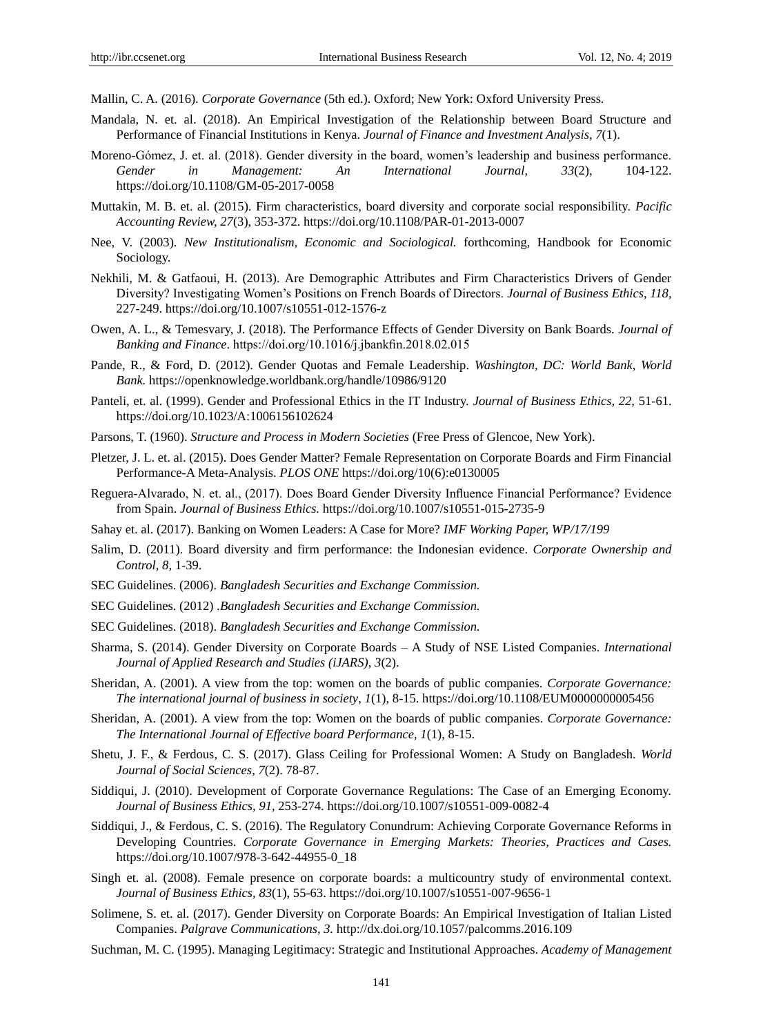Mallin, C. A. (2016). *Corporate Governance* (5th ed.). Oxford; New York: Oxford University Press.

- Mandala, N. et. al. (2018). An Empirical Investigation of the Relationship between Board Structure and Performance of Financial Institutions in Kenya. *Journal of Finance and Investment Analysis, 7*(1).
- Moreno-Gómez, J. et. al. (2018). Gender diversity in the board, women"s leadership and business performance. *Gender in Management: An International Journal, 33*(2), 104-122. <https://doi.org/10.1108/GM-05-2017-0058>
- Muttakin, M. B. et. al. (2015). Firm characteristics, board diversity and corporate social responsibility. *Pacific Accounting Review, 27*(3), 353-372. https://doi.org/10.1108/PAR-01-2013-0007
- Nee, V. (2003). *New Institutionalism, Economic and Sociological.* forthcoming, Handbook for Economic Sociology.
- Nekhili, M. & Gatfaoui, H. (2013). Are Demographic Attributes and Firm Characteristics Drivers of Gender Diversity? Investigating Women"s Positions on French Boards of Directors. *Journal of Business Ethics, 118,*  227-249.<https://doi.org/10.1007/s10551-012-1576-z>
- Owen, A. L., & Temesvary, J. (2018). The Performance Effects of Gender Diversity on Bank Boards. *Journal of Banking and Finance*. https://doi.org/10.1016/j.jbankfin.2018.02.015
- Pande, R., & Ford, D. (2012). Gender Quotas and Female Leadership. *Washington, DC: World Bank, World Bank.* <https://openknowledge.worldbank.org/handle/10986/9120>
- Panteli, et. al. (1999). Gender and Professional Ethics in the IT Industry. *Journal of Business Ethics*, *22,* 51-61. https://doi.org/10.1023/A:1006156102624
- Parsons, T. (1960). *Structure and Process in Modern Societies* (Free Press of Glencoe, New York).
- Pletzer, J. L. et. al. (2015). Does Gender Matter? Female Representation on Corporate Boards and Firm Financial Performance-A Meta-Analysis. *PLOS ONE* [https://doi.org/10\(6\):e0130005](https://doi.org/10(6):e0130005)
- Reguera-Alvarado, N. et. al., (2017). Does Board Gender Diversity Influence Financial Performance? Evidence from Spain. *Journal of Business Ethics.* <https://doi.org/10.1007/s10551-015-2735-9>
- Sahay et. al. (2017). Banking on Women Leaders: A Case for More? *IMF Working Paper, WP/17/199*
- Salim, D. (2011). Board diversity and firm performance: the Indonesian evidence. *Corporate Ownership and Control, 8,* 1-39.
- SEC Guidelines. (2006). *Bangladesh Securities and Exchange Commission.*
- SEC Guidelines. (2012) .*Bangladesh Securities and Exchange Commission.*
- SEC Guidelines. (2018). *Bangladesh Securities and Exchange Commission.*
- Sharma, S. (2014). Gender Diversity on Corporate Boards A Study of NSE Listed Companies. *International Journal of Applied Research and Studies (iJARS)*, *3*(2).
- Sheridan, A. (2001). A view from the top: women on the boards of public companies. *Corporate Governance: The international journal of business in society*, *1*(1), 8-15. https://doi.org/10.1108/EUM0000000005456
- Sheridan, A. (2001). A view from the top: Women on the boards of public companies. *Corporate Governance: The International Journal of Effective board Performance, 1*(1), 8-15.
- Shetu, J. F., & Ferdous, C. S. (2017). Glass Ceiling for Professional Women: A Study on Bangladesh. *World Journal of Social Sciences*, *7*(2). 78-87.
- Siddiqui, J. (2010). Development of Corporate Governance Regulations: The Case of an Emerging Economy. *Journal of Business Ethics, 91,* 253-274. <https://doi.org/10.1007/s10551-009-0082-4>
- Siddiqui, J., & Ferdous, C. S. (2016). The Regulatory Conundrum: Achieving Corporate Governance Reforms in Developing Countries. *Corporate Governance in Emerging Markets: Theories, Practices and Cases.* [https://doi.org/10.1007/978-3-642-44955-0\\_18](https://doi.org/10.1007/978-3-642-44955-0_18)
- Singh et. al. (2008). Female presence on corporate boards: a multicountry study of environmental context. *Journal of Business Ethics, 83*(1), 55-63.<https://doi.org/10.1007/s10551-007-9656-1>
- Solimene, S. et. al. (2017). Gender Diversity on Corporate Boards: An Empirical Investigation of Italian Listed Companies. *Palgrave Communications, 3.* <http://dx.doi.org/10.1057/palcomms.2016.109>
- Suchman, M. C. (1995). Managing Legitimacy: Strategic and Institutional Approaches. *Academy of Management*